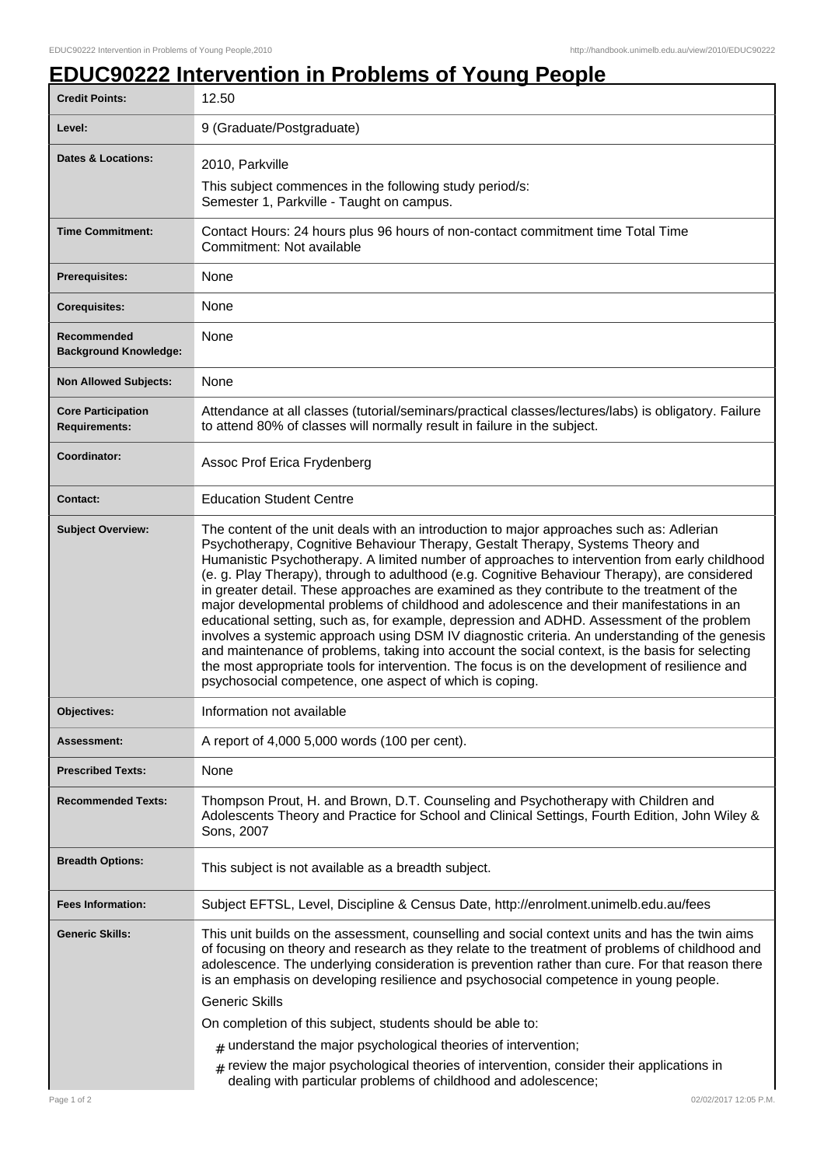## **EDUC90222 Intervention in Problems of Young People**

| <b>Credit Points:</b>                       | 12.50                                                                                                                                                                                                                                                                                                                                                                                                                                                                                                                                                                                                                                                                                                                                                                                                                                                                                                                                                                                                                                   |
|---------------------------------------------|-----------------------------------------------------------------------------------------------------------------------------------------------------------------------------------------------------------------------------------------------------------------------------------------------------------------------------------------------------------------------------------------------------------------------------------------------------------------------------------------------------------------------------------------------------------------------------------------------------------------------------------------------------------------------------------------------------------------------------------------------------------------------------------------------------------------------------------------------------------------------------------------------------------------------------------------------------------------------------------------------------------------------------------------|
| Level:                                      | 9 (Graduate/Postgraduate)                                                                                                                                                                                                                                                                                                                                                                                                                                                                                                                                                                                                                                                                                                                                                                                                                                                                                                                                                                                                               |
| <b>Dates &amp; Locations:</b>               | 2010, Parkville                                                                                                                                                                                                                                                                                                                                                                                                                                                                                                                                                                                                                                                                                                                                                                                                                                                                                                                                                                                                                         |
|                                             | This subject commences in the following study period/s:<br>Semester 1, Parkville - Taught on campus.                                                                                                                                                                                                                                                                                                                                                                                                                                                                                                                                                                                                                                                                                                                                                                                                                                                                                                                                    |
| <b>Time Commitment:</b>                     | Contact Hours: 24 hours plus 96 hours of non-contact commitment time Total Time<br>Commitment: Not available                                                                                                                                                                                                                                                                                                                                                                                                                                                                                                                                                                                                                                                                                                                                                                                                                                                                                                                            |
| <b>Prerequisites:</b>                       | None                                                                                                                                                                                                                                                                                                                                                                                                                                                                                                                                                                                                                                                                                                                                                                                                                                                                                                                                                                                                                                    |
| <b>Corequisites:</b>                        | None                                                                                                                                                                                                                                                                                                                                                                                                                                                                                                                                                                                                                                                                                                                                                                                                                                                                                                                                                                                                                                    |
| Recommended<br><b>Background Knowledge:</b> | None                                                                                                                                                                                                                                                                                                                                                                                                                                                                                                                                                                                                                                                                                                                                                                                                                                                                                                                                                                                                                                    |
| <b>Non Allowed Subjects:</b>                | None                                                                                                                                                                                                                                                                                                                                                                                                                                                                                                                                                                                                                                                                                                                                                                                                                                                                                                                                                                                                                                    |
| <b>Core Participation</b><br>Requirements:  | Attendance at all classes (tutorial/seminars/practical classes/lectures/labs) is obligatory. Failure<br>to attend 80% of classes will normally result in failure in the subject.                                                                                                                                                                                                                                                                                                                                                                                                                                                                                                                                                                                                                                                                                                                                                                                                                                                        |
| Coordinator:                                | Assoc Prof Erica Frydenberg                                                                                                                                                                                                                                                                                                                                                                                                                                                                                                                                                                                                                                                                                                                                                                                                                                                                                                                                                                                                             |
| <b>Contact:</b>                             | <b>Education Student Centre</b>                                                                                                                                                                                                                                                                                                                                                                                                                                                                                                                                                                                                                                                                                                                                                                                                                                                                                                                                                                                                         |
| <b>Subject Overview:</b>                    | The content of the unit deals with an introduction to major approaches such as: Adlerian<br>Psychotherapy, Cognitive Behaviour Therapy, Gestalt Therapy, Systems Theory and<br>Humanistic Psychotherapy. A limited number of approaches to intervention from early childhood<br>(e. g. Play Therapy), through to adulthood (e.g. Cognitive Behaviour Therapy), are considered<br>in greater detail. These approaches are examined as they contribute to the treatment of the<br>major developmental problems of childhood and adolescence and their manifestations in an<br>educational setting, such as, for example, depression and ADHD. Assessment of the problem<br>involves a systemic approach using DSM IV diagnostic criteria. An understanding of the genesis<br>and maintenance of problems, taking into account the social context, is the basis for selecting<br>the most appropriate tools for intervention. The focus is on the development of resilience and<br>psychosocial competence, one aspect of which is coping. |
| Objectives:                                 | Information not available                                                                                                                                                                                                                                                                                                                                                                                                                                                                                                                                                                                                                                                                                                                                                                                                                                                                                                                                                                                                               |
| Assessment:                                 | A report of 4,000 5,000 words (100 per cent).                                                                                                                                                                                                                                                                                                                                                                                                                                                                                                                                                                                                                                                                                                                                                                                                                                                                                                                                                                                           |
| <b>Prescribed Texts:</b>                    | None                                                                                                                                                                                                                                                                                                                                                                                                                                                                                                                                                                                                                                                                                                                                                                                                                                                                                                                                                                                                                                    |
| <b>Recommended Texts:</b>                   | Thompson Prout, H. and Brown, D.T. Counseling and Psychotherapy with Children and<br>Adolescents Theory and Practice for School and Clinical Settings, Fourth Edition, John Wiley &<br>Sons, 2007                                                                                                                                                                                                                                                                                                                                                                                                                                                                                                                                                                                                                                                                                                                                                                                                                                       |
| <b>Breadth Options:</b>                     | This subject is not available as a breadth subject.                                                                                                                                                                                                                                                                                                                                                                                                                                                                                                                                                                                                                                                                                                                                                                                                                                                                                                                                                                                     |
| <b>Fees Information:</b>                    | Subject EFTSL, Level, Discipline & Census Date, http://enrolment.unimelb.edu.au/fees                                                                                                                                                                                                                                                                                                                                                                                                                                                                                                                                                                                                                                                                                                                                                                                                                                                                                                                                                    |
| <b>Generic Skills:</b>                      | This unit builds on the assessment, counselling and social context units and has the twin aims<br>of focusing on theory and research as they relate to the treatment of problems of childhood and<br>adolescence. The underlying consideration is prevention rather than cure. For that reason there<br>is an emphasis on developing resilience and psychosocial competence in young people.                                                                                                                                                                                                                                                                                                                                                                                                                                                                                                                                                                                                                                            |
|                                             | <b>Generic Skills</b>                                                                                                                                                                                                                                                                                                                                                                                                                                                                                                                                                                                                                                                                                                                                                                                                                                                                                                                                                                                                                   |
|                                             | On completion of this subject, students should be able to:<br>$#$ understand the major psychological theories of intervention;                                                                                                                                                                                                                                                                                                                                                                                                                                                                                                                                                                                                                                                                                                                                                                                                                                                                                                          |
|                                             | review the major psychological theories of intervention, consider their applications in<br>#                                                                                                                                                                                                                                                                                                                                                                                                                                                                                                                                                                                                                                                                                                                                                                                                                                                                                                                                            |
|                                             | dealing with particular problems of childhood and adolescence;                                                                                                                                                                                                                                                                                                                                                                                                                                                                                                                                                                                                                                                                                                                                                                                                                                                                                                                                                                          |